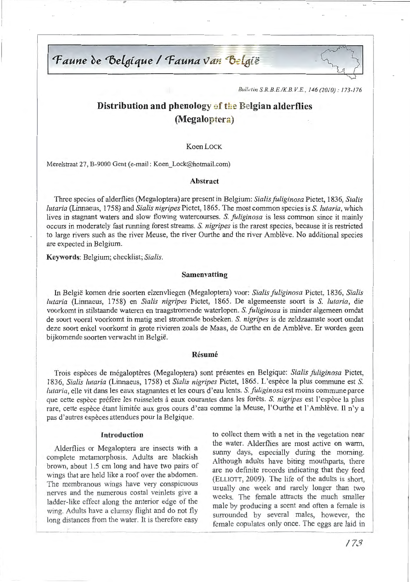Faune de Belgique / Fauna van België

*Bullo!!in S.R.B.E.IK.B.V.E. , 146 (2010): 173-176* 

# **Distribution and phenology of the Belgian alderflies (Megaloptera)**

# Koen LOCK

Merelstraat 27, B-9000 Gent (e-mail : Koen\_Lock@hotmail.com)

## **Abstract**

Three species of alderflies (Megaloptera) are present in Belgium: *Sialis fuliginosa* Pictet, 1836, *Sialis lutaria* (Linnaeus, 1758) and *Sialis nigripes* Pictet, 1865. The most common species is *S. lutaria*, which lives in stagnant waters and slow flowing watercourses. S. *fuliginosa* is less common since it mainly occurs in moderately fast running forest streams. *S. nigripes* is the rarest species, because it is restricted to large rivers such as the river Meuse, the river Ourthe and the river Amblève. No additional species are expected in Belgium.

**Keywords:** Belgium; checklist; *Sialis.* 

# **Samenvatting**

In Belgie komen drie soorten elzenvliegen (Megaloptera) voor: *Sialis fuliginosa* Pictet, 1836, *Sialis lutaria* (Linnaeus, 1758) en *Sialis nigripes* Pictet, 1865. De algemeenste soort is S. *lutaria,* die voorkomt in stilstaande wateren en traagstromende waterlopen. S. *fuliginosa* is minder algemeen omdat de soort vooral voorkomt in matig snel stromende bosbeken. S. *nigripes* is de zeldzaamste soort omdat deze soort enkel voorkomt in grote rivieren zoals de Maas, de Ourthe en de Amblève. Er worden geen bijkomende soorten verwacht in Belgie.

## **Resume**

Trois especes de megalopteres (Megaloptera) sont presentes en Belgique: *Sialis fuliginosa* Pictet, 1836, *Sialis lutaria* (Linnaeus, 1758) et *Sialis nigripes* Pictet, 1865. L'espece la plus commune est S. *lutaria*, elle vit dans les eaux stagnantes et les cours d'eau lents. S. *fuliginosa* est moins commune parce que cette espèce préfère les ruisselets à eaux courantes dans les forêts. S. nigripes est l'espèce la plus rare, cette espèce étant limitée aux gros cours d'eau comme la Meuse, l'Ourthe et l'Amblève. Il n'y a pas d'autres espèces attendues pour la Belgique.

#### **Introduction**

Alderflies or Megaloptera are insects with a complete metamorphosis. Adults are blackish brown, about 1.5 cm long and have two pairs of wings that are held like a roof over the abdomen. The membranous wings have very conspicuous nerves and the numerous costal veinlets give a ladder-like effect along the anterior edge of the wing. Adults have a clumsy flight and do not fly long distances from the water. It is therefore easy

to collect them with a net in the vegetation near the water. Alderflies are most active on warm, sunny days, especially during the morning. Although adults have biting mouthparts, there are no definite records indicating that they feed (ELLIOTT, 2009). The life of the adults is short, usually one week and rarely longer than two weeks. The female attracts the much smaller male by producing a scent and often a female is surrounded by several males, however, the female copulates only once. The eggs are laid in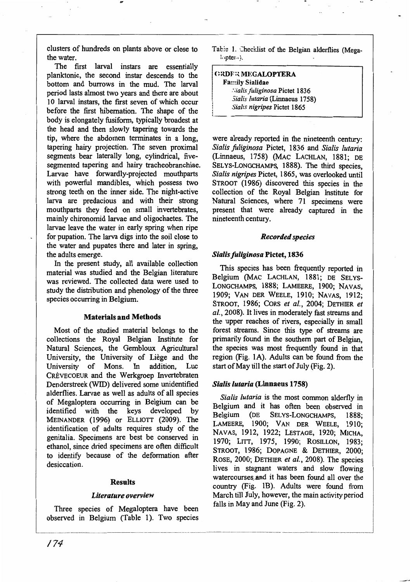clusters of hundreds on plants above or close to the water.

The first larval instars are essentially planktonic, the second instar descends to the bottom and burrows in the mud. The larval period lasts almost two years and there are about 10 larval instars, the first seven of which occur before the first hibernation. The shape of the body is elongately fusiform, typically broadest at the head and then slowly tapering towards the tip, where the abdomen terminates in a long, tapering hairy projection. The seven proximal segments bear laterally long, cylindrical, fivesegmented tapering and hairy tracheobranchiae. Larvae have forwardly-projected mouthparts with powerful mandibles, which possess two strong teeth on the inner side. The night-active larva are predacious and with their strong mouthparts they feed on small invertebrates, mainly chironomid larvae and oligochaetes. The larvae leave the water in early spring when ripe for pupation. The larva digs into the soil close to the water and pupates there and later in spring, the adults emerge.

In the present study, all available collection material was studied and the Belgian literature was reviewed. The collected data were used to study the distribution and phenology of the three species occurring in Belgium.

# Materials and Methods

Most of the studied material belongs to the collections the Royal Belgian Institute for Natural Sciences, the Gembloux Agricultural University, the University of Liège and the University of Mons. In addition, Luc University of Mons. In addition, Luc CREVECOEUR and the Werkgroep Invertebraten Denderstreek (WID) delivered some unidentified alderflies. Larvae as well as adults of all species of Megaloptera occurring in Belgium can be identified with the keys developed by MEINANDER (1996) or ELLIOTT (2009). The identification of adults requires study of the genitalia. Specimens are best be conserved in ethanol, since dried specimens are often difficult to identify because of the deformation after desiccation.

# Results

#### *Literature overview*

Three species of Megaloptera have been observed in Belgium (Table 1). Two species Table 1. Checklist of the Belgian alderflies (Mega $lo{t}$  oter- $o{t}$ .

# **GRDF :: MEGALOPTERA** Family Sialidae .' *:ialis fuliginosa* Pictet 183 6 *5ialis lutaria* (Linnaeus 1758) , *Sialis nigripes* Pictet 1865

~------------------------------------------- --------------------------~

were already reported in the nineteenth century: *Sialis fuliginosa* Pictet, 1836 and *Sialis lutaria*  {Linnaeus, 1758) {MAC LACHLAN, 1881; DE SELYS-LONGCHAMPS, 1888). The third species, *Sialis nigripes* Pictet, 1865, was overlooked until STROOT (1986) discovered this species in the collection of the Royal Belgian Institute for Natural Sciences, where 71 specimens were present that were already captured in the nineteenth century.

L\_\_ ----------------------------~

# *Recorded species*

## *Sialis fuliginosa* Pictet, 1836

This species has been frequently reported in Belgium {MAC LACHLAN, 1881; DE SELYS-LONGCHAMPS, 1888; LAMEERE, 1900; NAVAS, 1909; VAN DER WEELE, 1910; NAVAS, 1912; STROOT, 1986; CORS *et al.,* 2004; DETHIER *et al.,* 2008). It lives in moderately fast streams and the upper reaches of rivers, especially in small forest streams. Since this type of streams are primarily found in the southern part of Belgian, the species was most frequently found in that region (Fig. lA). Adults can be found from the start of May till the start of July (Fig. 2).

## *Sialis lutaria* (Linnaeus 1758)

*Sialis lutaria* is the most common alderfly in Belgium and it has often been observed in Belgium (DE SELYS-LONGCHAMPS, 1888; LAMEERE, 1900; VAN DER WEELE, 1910; NAVAS, 1912, 1922; LESTAGE, 1920; MICHA, 1970; LITT, 1975, 1990; ROSILLON, 1983; STROOT, 1986; DOPAGNE & DETHIER, 2000; ROSE, 2000; DETHIER *et al.,* 2008). The species lives in stagnant waters and slow flowing watercourses and it has been found all over the country (Fig. 1B). Adults were found from March till July, however, the main activity period falls in May and June (Fig. 2).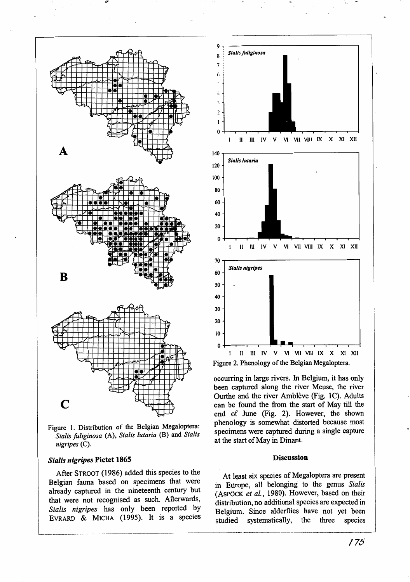

Figure 1. Distribution of the Belgian Megaloptera: Sialis fuliginosa (A), Sialis lutaria (B) and Sialis  $nigripes$  (C).

# **Sialis nigripes Pictet 1865**

After STROOT (1986) added this species to the Belgian fauna based on specimens that were already captured in the nineteenth century but that were not recognised as such. Afterwards, Sialis nigripes has only been reported by EVRARD & MICHA (1995). It is a species



occurring in large rivers. In Belgium, it has only been captured along the river Meuse, the river Ourthe and the river Amblève (Fig. 1C). Adults can be found the from the start of May till the end of June (Fig. 2). However, the shown phenology is somewhat distorted because most specimens were captured during a single capture at the start of May in Dinant.

# **Discussion**

At least six species of Megaloptera are present in Europe, all belonging to the genus Sialis (ASPÖCK et al., 1980). However, based on their distribution, no additional species are expected in Belgium. Since alderflies have not yet been studied systematically, the three species